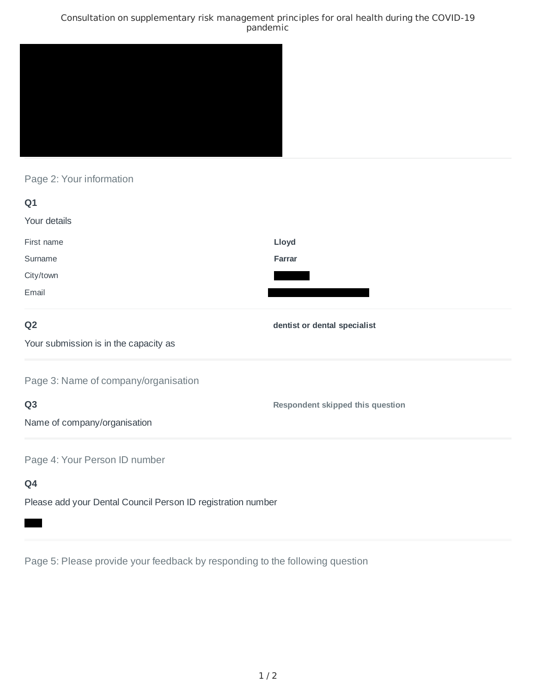### Consultation on supplementary risk management principles for oral health during the COVID-19 pandemic



# Page 2: Your information

| Q1                                    |                                         |
|---------------------------------------|-----------------------------------------|
| Your details                          |                                         |
| First name                            | Lloyd                                   |
| Surname                               | <b>Farrar</b>                           |
| City/town                             |                                         |
| Email                                 |                                         |
| Q <sub>2</sub>                        | dentist or dental specialist            |
| Your submission is in the capacity as |                                         |
| Page 3: Name of company/organisation  |                                         |
| Q <sub>3</sub>                        | <b>Respondent skipped this question</b> |
| Name of company/organisation          |                                         |
| Page 4: Your Person ID number         |                                         |

# **Q4**

Please add your Dental Council Person ID registration number

Page 5: Please provide your feedback by responding to the following question